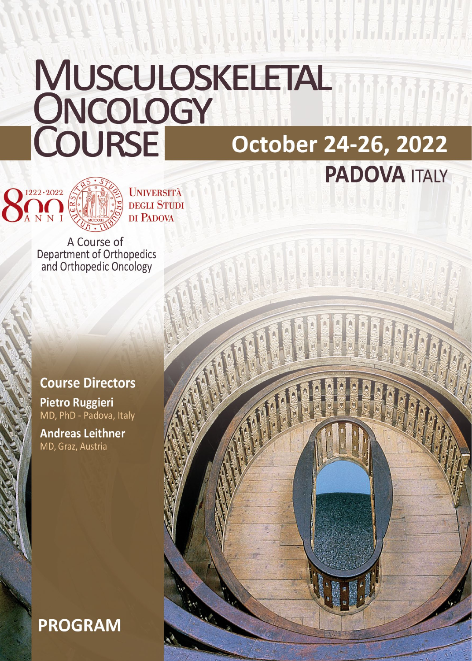# MUSCULOSKELETAL<br>ONCOLOGY<br>COURSE October 24 October 24-26, 2022 **PADOVA ITALY**

a da dodigogo do da da da d



**UNIVERSITÀ DEGLI STUDI** DI PADOVA

A Course of Department of Orthopedics<br>and Orthopedic Oncology

## **Course Directors**

**Pietro Ruggieri** MD, PhD - Padova, Italy

**Andreas Leithner** MD, Graz, Austria

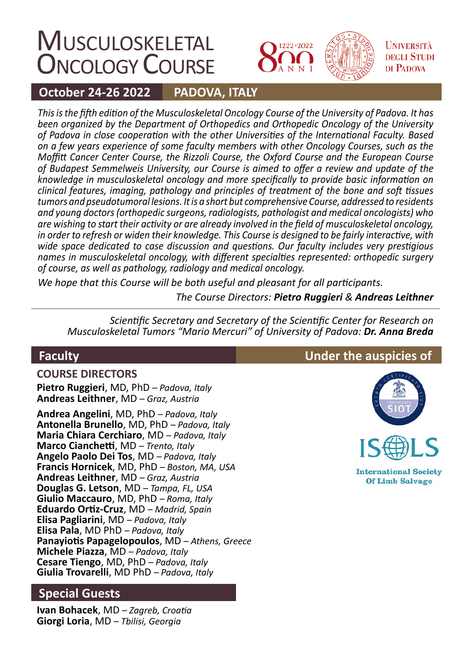## **MUSCULOSKELETAL ONCOLOGY COURSE**



**UNIVERSITÀ DEGLI STUDI** DI PADOVA

#### **October 24-26 2022 PADOVA, ITALY**

*This is the fifth edition of the Musculoskeletal Oncology Course of the University of Padova. It has been organized by the Department of Orthopedics and Orthopedic Oncology of the University of Padova in close cooperation with the other Universities of the International Faculty. Based on a few years experience of some faculty members with other Oncology Courses, such as the Moffitt Cancer Center Course, the Rizzoli Course, the Oxford Course and the European Course of Budapest Semmelweis University, our Course is aimed to offer a review and update of the knowledge in musculoskeletal oncology and more specifically to provide basic information on clinical features, imaging, pathology and principles of treatment of the bone and soft tissues tumors and pseudotumoral lesions. It is a short but comprehensive Course, addressed to residents and young doctors (orthopedic surgeons, radiologists, pathologist and medical oncologists) who are wishing to start their activity or are already involved in the field of musculoskeletal oncology, in order to refresh or widen their knowledge. This Course is designed to be fairly interactive, with wide space dedicated to case discussion and questions. Our faculty includes very prestigious names in musculoskeletal oncology, with different specialties represented: orthopedic surgery of course, as well as pathology, radiology and medical oncology.* 

*We hope that this Course will be both useful and pleasant for all participants.*

*The Course Directors: Pietro Ruggieri & Andreas Leithner*

*Scientific Secretary and Secretary of the Scientific Center for Research on Musculoskeletal Tumors "Mario Mercuri" of University of Padova: Dr. Anna Breda*

## **Faculty**

**COURSE DIRECTORS Pietro Ruggieri**, MD, PhD *– Padova, Italy* **Andreas Leithner**, MD *– Graz, Austria*

**Andrea Angelini**, MD, PhD *– Padova, Italy* **Antonella Brunello**, MD, PhD *– Padova, Italy* **Maria Chiara Cerchiaro**, MD *– Padova, Italy* **Marco Cianchetti**, MD *– Trento, Italy* **Angelo Paolo Dei Tos**, MD *– Padova, Italy* **Francis Hornicek**, MD, PhD *– Boston, MA, USA* **Andreas Leithner**, MD *– Graz, Austria* **Douglas G. Letson**, MD *– Tampa, FL, USA* **Giulio Maccauro**, MD, PhD *– Roma, Italy* **Eduardo Ortiz-Cruz**, MD *– Madrid, Spain* **Elisa Pagliarini**, MD *– Padova, Italy* **Elisa Pala**, MD PhD *– Padova, Italy* **Panayiotis Papagelopoulos**, MD *– Athens, Greece* **Michele Piazza**, MD *– Padova, Italy* **Cesare Tiengo**, MD, PhD *– Padova, Italy* **Giulia Trovarelli**, MD PhD *– Padova, Italy*

## **Special Guests**

**Ivan Bohacek**, MD *– Zagreb, Croatia* **Giorgi Loria**, MD *– Tbilisi, Georgia*

## **Under the auspicies of**





**International Society Of Limb Salvage**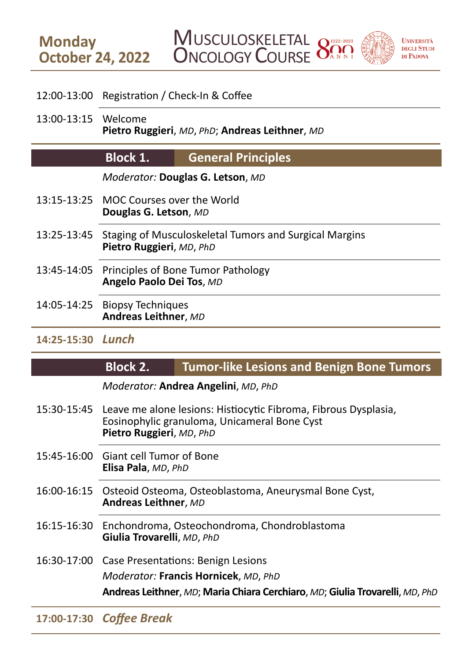## 12:00-13:00 Registration / Check-In & Coffee

13:00-13:15 Welcome **Pietro Ruggieri**, *MD*, *PhD*; **Andreas Leithner**, *MD*

#### **Block 1. General Principles**

*Moderator:* **Douglas G. Letson**, *MD*

- 13:15-13:25 MOC Courses over the World **Douglas G. Letson**, *MD*
- 13:25-13:45 Staging of Musculoskeletal Tumors and Surgical Margins **Pietro Ruggieri**, *MD*, *PhD*
- 13:45-14:05 Principles of Bone Tumor Pathology **Angelo Paolo Dei Tos**, *MD*
- 14:05-14:25 Biopsy Techniques **Andreas Leithner**, *MD*
- **14:25-15:30** *Lunch*

**Monday**

#### **Block 2. Tumor-like Lesions and Benign Bone Tumors**

*Moderator:* **Andrea Angelini**, *MD*, *PhD*

- 15:30-15:45 Leave me alone lesions: Histiocytic Fibroma, Fibrous Dysplasia, Eosinophylic granuloma, Unicameral Bone Cyst **Pietro Ruggieri**, *MD*, *PhD*
- 15:45-16:00 Giant cell Tumor of Bone **Elisa Pala**, *MD*, *PhD*
- 16:00-16:15 Osteoid Osteoma, Osteoblastoma, Aneurysmal Bone Cyst, **Andreas Leithner**, *MD*
- 16:15-16:30 Enchondroma, Osteochondroma, Chondroblastoma **Giulia Trovarelli**, *MD*, *PhD*
- 16:30-17:00 Case Presentations: Benign Lesions

*Moderator:* **Francis Hornicek**, *MD*, *PhD*

**Andreas Leithner**, *MD*; **Maria Chiara Cerchiaro**, *MD*; **Giulia Trovarelli**, *MD*, *PhD*

## **17:00-17:30** *Coffee Break*

## **MUSCULOSKELETAL** ONCOLOGY COURSE **October 24, 2022**

 $\bigcap$  1222 - 2022

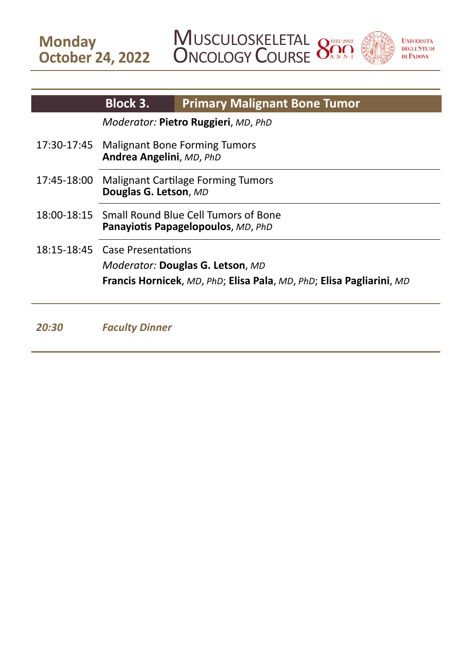**MUSCULOSKELETAL ONCOLOGY COURSE** 





|             | <b>Block 3.</b>                                                            | <b>Primary Malignant Bone Tumor</b>                                         |
|-------------|----------------------------------------------------------------------------|-----------------------------------------------------------------------------|
|             | Moderator: Pietro Ruggieri, MD, PhD                                        |                                                                             |
| 17:30-17:45 | <b>Malignant Bone Forming Tumors</b><br>Andrea Angelini, MD, PhD           |                                                                             |
| 17:45-18:00 | Malignant Cartilage Forming Tumors<br>Douglas G. Letson, MD                |                                                                             |
| 18:00-18:15 | Small Round Blue Cell Tumors of Bone<br>Panayiotis Papagelopoulos, MD, PhD |                                                                             |
|             | 18:15-18:45 Case Presentations                                             |                                                                             |
|             | Moderator: Douglas G. Letson, MD                                           |                                                                             |
|             |                                                                            | <b>Francis Hornicek, MD, PhD; Elisa Pala, MD, PhD; Elisa Pagliarini, MD</b> |
|             |                                                                            |                                                                             |

20:30 *Faculty Dinner*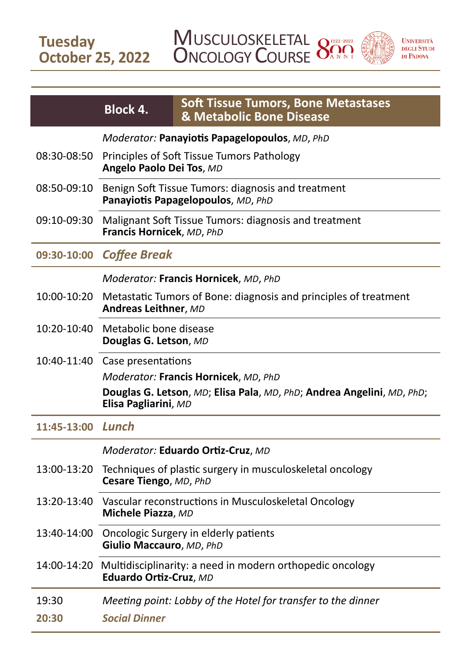**Tuesday October 25, 2022** **MUSCULOSKELETAL ONCOLOGY COURSE** 





|                   | <b>Block 4.</b>                                                                                 | <b>Soft Tissue Tumors, Bone Metastases</b><br>& Metabolic Bone Disease |  |
|-------------------|-------------------------------------------------------------------------------------------------|------------------------------------------------------------------------|--|
|                   | Moderator: Panayiotis Papagelopoulos, MD, PhD                                                   |                                                                        |  |
| 08:30-08:50       | Principles of Soft Tissue Tumors Pathology<br>Angelo Paolo Dei Tos, MD                          |                                                                        |  |
| 08:50-09:10       | Benign Soft Tissue Tumors: diagnosis and treatment<br>Panayiotis Papagelopoulos, MD, PhD        |                                                                        |  |
| 09:10-09:30       | Malignant Soft Tissue Tumors: diagnosis and treatment<br>Francis Hornicek, MD, PhD              |                                                                        |  |
| 09:30-10:00       | <b>Coffee Break</b>                                                                             |                                                                        |  |
|                   | Moderator: Francis Hornicek, MD, PhD                                                            |                                                                        |  |
| 10:00-10:20       | Metastatic Tumors of Bone: diagnosis and principles of treatment<br>Andreas Leithner, MD        |                                                                        |  |
|                   | 10:20-10:40 Metabolic bone disease<br>Douglas G. Letson, MD                                     |                                                                        |  |
|                   | 10:40-11:40 Case presentations                                                                  |                                                                        |  |
|                   | Moderator: Francis Hornicek, MD, PhD                                                            |                                                                        |  |
|                   | Elisa Pagliarini, MD                                                                            | Douglas G. Letson, MD; Elisa Pala, MD, PhD; Andrea Angelini, MD, PhD;  |  |
| 11:45-13:00 Lunch |                                                                                                 |                                                                        |  |
|                   | Moderator: Eduardo Ortiz-Cruz, MD                                                               |                                                                        |  |
| 13:00-13:20       | Techniques of plastic surgery in musculoskeletal oncology<br>Cesare Tiengo, MD, PhD             |                                                                        |  |
| 13:20-13:40       | Vascular reconstructions in Musculoskeletal Oncology<br>Michele Piazza, MD                      |                                                                        |  |
|                   | 13:40-14:00 Oncologic Surgery in elderly patients<br>Giulio Maccauro, MD, PhD                   |                                                                        |  |
|                   | 14:00-14:20 Multidisciplinarity: a need in modern orthopedic oncology<br>Eduardo Ortiz-Cruz, MD |                                                                        |  |
| 19:30             | Meeting point: Lobby of the Hotel for transfer to the dinner                                    |                                                                        |  |
| 20:30             | <b>Social Dinner</b>                                                                            |                                                                        |  |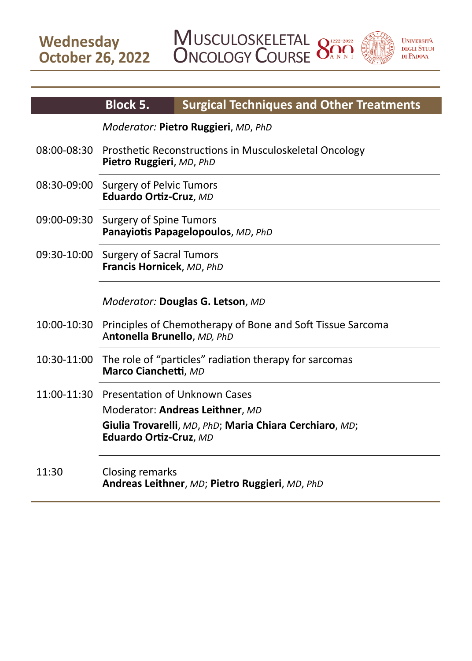